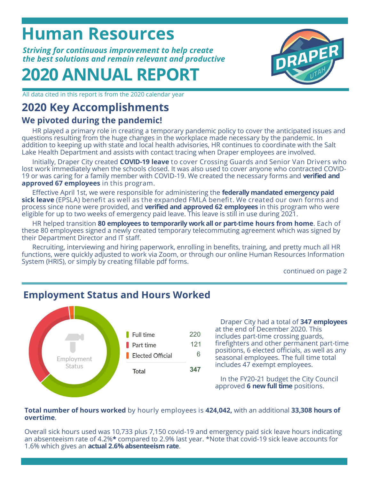## **Human Resources**

*Striving for continuous improvement to help create the best solutions and remain relevant and productive*

# **2020 ANNUAL REPORT**



All data cited in this report is from the 2020 calendar year

## **2020 Key Accomplishments**

## **We pivoted during the pandemic!**

HR played a primary role in creating a temporary pandemic policy to cover the anticipated issues and questions resulting from the huge changes in the workplace made necessary by the pandemic. In addition to keeping up with state and local health advisories, HR continues to coordinate with the Salt Lake Health Department and assists with contact tracing when Draper employees are involved.

Initially, Draper City created **COVID-19 leave** to cover Crossing Guards and Senior Van Drivers who lost work immediately when the schools closed. It was also used to cover anyone who contracted COVID-19 or was caring for a family member with COVID-19. We created the necessary forms and **verified and approved 67 employees** in this program.

Effective April 1st, we were responsible for administering the **federally mandated emergency paid sick leave** (EPSLA) benefit as well as the expanded FMLA benefit. We created our own forms and process since none were provided, and **verified and approved 62 employees** in this program who were eligible for up to two weeks of emergency paid leave. This leave is still in use during 2021.

HR helped transition **80 employees to temporarily work all or part-time hours from home**. Each of these 80 employees signed a newly created temporary telecommuting agreement which was signed by their Department Director and IT staff.

Recruiting, interviewing and hiring paperwork, enrolling in benefits, training, and pretty much all HR functions, were quickly adjusted to work via Zoom, or through our online Human Resources Information System (HRIS), or simply by creating fillable pdf forms.

continued on page 2



## **Employment Status and Hours Worked**

Draper City had a total of **347 employees** at the end of December 2020. This includes part-time crossing guards, firefighters and other permanent part-time positions, 6 elected officials, as well as any seasonal employees. The full time total includes 47 exempt employees.

In the FY20-21 budget the City Council approved **6 new full time** positions.

#### **Total number of hours worked** by hourly employees is **424,042,** with an additional **33,308 hours of overtime**.

Overall sick hours used was 10,733 plus 7,150 covid-19 and emergency paid sick leave hours indicating an absenteeism rate of 4.2%**\*** compared to 2.9% last year. \*Note that covid-19 sick leave accounts for 1.6% which gives an **actual 2.6% absenteeism rate**.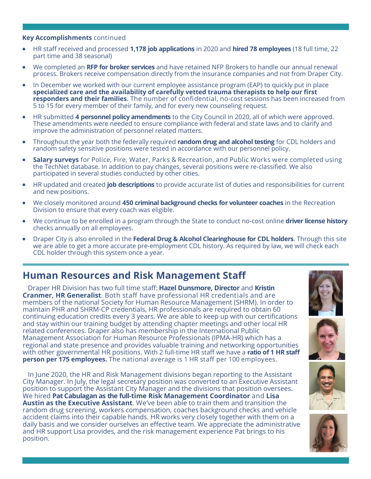#### **Key Accomplishments** continued

- HR staff received and processed **1,178 job applications** in 2020 and **hired 78 employees** (18 full time, 22 part time and 38 seasonal)
- We completed an **RFP for broker services** and have retained NFP Brokers to handle our annual renewal process. Brokers receive compensation directly from the insurance companies and not from Draper City.
- In December we worked with our current employee assistance program (EAP) to quickly put in place **specialized care and the availability of carefully vetted trauma therapists to help our first responders and their families**. The number of confidential, no-cost sessions has been increased from 5 to 15 for every member of their family, and for every new counseling request.
- HR submitted **4 personnel policy amendments** to the City Council in 2020, all of which were approved. These amendments were needed to ensure compliance with federal and state laws and to clarify and improve the administration of personnel related matters.
- Throughout the year both the federally required **random drug and alcohol testing** for CDL holders and random safety sensitive positions were tested in accordance with our personnel policy.
- **Salary surveys** for Police, Fire, Water, Parks & Recreation, and Public Works were completed using the TechNet database. In addition to pay changes, several positions were re-classified. We also participated in several studies conducted by other cities.
- HR updated and created **job descriptions** to provide accurate list of duties and responsibilities for current and new positions.
- We closely monitored around **450 criminal background checks for volunteer coaches** in the Recreation Division to ensure that every coach was eligible.
- We continue to be enrolled in a program through the State to conduct no-cost online **driver license history**  checks annually on all employees.
- Draper City is also enrolled in the **Federal Drug & Alcohol Clearinghouse for CDL holders**. Through this site we are able to get a more accurate pre-employment CDL history. As required by law, we will check each CDL holder through this system once a year.

## **Human Resources and Risk Management Staff**

Draper HR Division has two full time staff: **Hazel Dunsmore, Director** and **Kristin Cranmer, HR Generalist**. Both staff have professional HR credentials and are members of the national Society for Human Resource Management (SHRM). In order to maintain PHR and SHRM-CP credentials, HR professionals are required to obtain 60 continuing education credits every 3 years. We are able to keep up with our certifications and stay within our training budget by attending chapter meetings and other local HR related conferences. Draper also has membership in the International Public Management Association for Human Resource Professionals (IPMA-HR) which has a regional and state presence and provides valuable training and networking opportunities with other governmental HR positions. With 2 full-time HR staff we have a **ratio of 1 HR staff person per 175 employees.** The national average is 1 HR staff per 100 employees.

In June 2020, the HR and Risk Management divisions began reporting to the Assistant City Manager. In July, the legal secretary position was converted to an Executive Assistant position to support the Assistant City Manager and the divisions that position oversees. We hired **Pat Cabulagan as the full-time Risk Management Coordinator** and **Lisa Austin as the Executive Assistant**. We've been able to train them and transition the random drug screening, workers compensation, coaches background checks and vehicle accident claims into their capable hands. HR works very closely together with them on a daily basis and we consider ourselves an effective team. We appreciate the administrative and HR support Lisa provides, and the risk management experience Pat brings to his position.







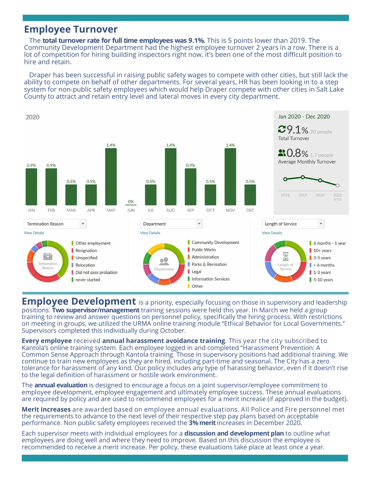### **Employee Turnover**

The **total turnover rate for full time employees was 9.1%.** This is 5 points lower than 2019. The Community Development Department had the highest employee turnover 2 years in a row. There is a lot of competition for hiring building inspectors right now, it's been one of the most difficult position to hire and retain.

Draper has been successful in raising public safety wages to compete with other cities, but still lack the ability to compete on behalf of other departments. For several years, HR has been looking in to a step system for non-public safety employees which would help Draper compete with other cities in Salt Lake County to attract and retain entry level and lateral moves in every city department.



**Employee Development** is a priority, especially focusing on those in supervisory and leadership positions. **Two supervisor/management** training sessions were held this year. In March we held a group training to review and answer questions on personnel policy, specifically the hiring process. With restrictions on meeting in groups, we utilized the URMA online training module "Ethical Behavior for Local Governments." Supervisors completed this individually during October.

**Every employee** received **annual harassment avoidance training**. This year the city subscribed to Kantola's online training system. Each employee logged in and completed "Harassment Prevention: A Common Sense Approach through Kantola training. Those in supervisory positions had additional training. We continue to train new employees as they are hired, including part-time and seasonal. The City has a zero tolerance for harassment of any kind. Our policy includes any type of harassing behavior, even if it doesn't rise to the legal definition of harassment or hostile work environment.

The **annual evaluation** is designed to encourage a focus on a joint supervisor/employee commitment to employee development, employee engagement and ultimately employee success. These annual evaluations are required by policy and are used to recommend employees for a merit increase (if approved in the budget).

**Merit increases** are awarded based on employee annual evaluations. All Police and Fire personnel met the requirements to advance to the next level of their respective step pay plans based on acceptable performance. Non public safety employees received the **3% merit** increases in December 2020.

Each supervisor meets with individual employees for a **discussion and development plan** to outline what employees are doing well and where they need to improve. Based on this discussion the employee is recommended to receive a merit increase. Per policy, these evaluations take place at least once a year.